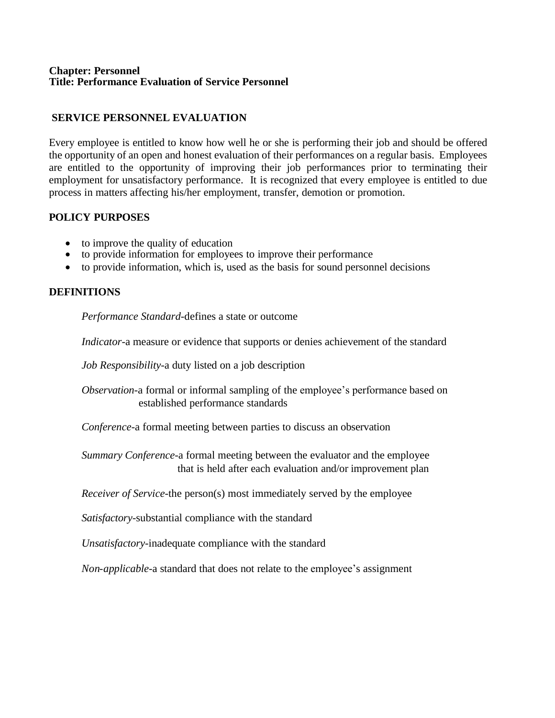#### **Chapter: Personnel Title: Performance Evaluation of Service Personnel**

# **SERVICE PERSONNEL EVALUATION**

Every employee is entitled to know how well he or she is performing their job and should be offered the opportunity of an open and honest evaluation of their performances on a regular basis. Employees are entitled to the opportunity of improving their job performances prior to terminating their employment for unsatisfactory performance. It is recognized that every employee is entitled to due process in matters affecting his/her employment, transfer, demotion or promotion.

## **POLICY PURPOSES**

- to improve the quality of education
- to provide information for employees to improve their performance
- to provide information, which is, used as the basis for sound personnel decisions

## **DEFINITIONS**

*Performance Standard*-defines a state or outcome

*Indicator*-a measure or evidence that supports or denies achievement of the standard

*Job Responsibility*-a duty listed on a job description

*Observation*-a formal or informal sampling of the employee's performance based on established performance standards

*Conference*-a formal meeting between parties to discuss an observation

*Summary Conference*-a formal meeting between the evaluator and the employee that is held after each evaluation and/or improvement plan

*Receiver of Service*-the person(s) most immediately served by the employee

*Satisfactory*-substantial compliance with the standard

*Unsatisfactory*-inadequate compliance with the standard

*Non-applicable*-a standard that does not relate to the employee's assignment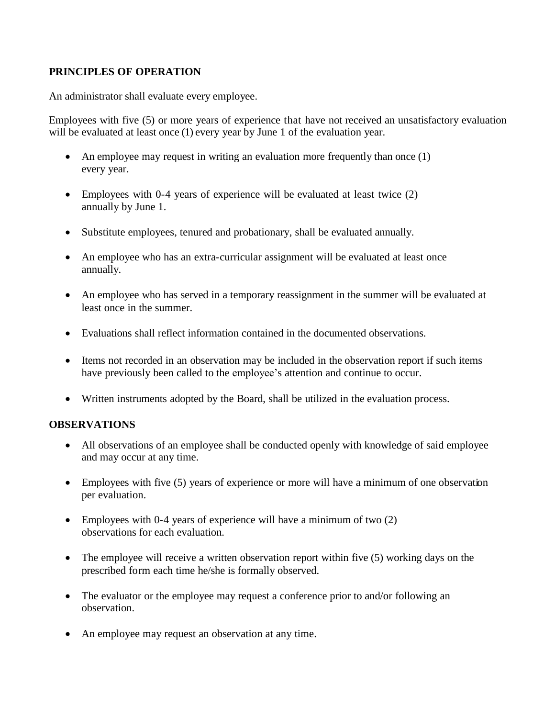## **PRINCIPLES OF OPERATION**

An administrator shall evaluate every employee.

Employees with five (5) or more years of experience that have not received an unsatisfactory evaluation will be evaluated at least once (1) every year by June 1 of the evaluation year.

- An employee may request in writing an evaluation more frequently than once (1) every year.
- Employees with 0-4 years of experience will be evaluated at least twice (2) annually by June 1.
- Substitute employees, tenured and probationary, shall be evaluated annually.
- An employee who has an extra-curricular assignment will be evaluated at least once annually.
- An employee who has served in a temporary reassignment in the summer will be evaluated at least once in the summer.
- Evaluations shall reflect information contained in the documented observations.
- Items not recorded in an observation may be included in the observation report if such items have previously been called to the employee's attention and continue to occur.
- Written instruments adopted by the Board, shall be utilized in the evaluation process.

## **OBSERVATIONS**

- All observations of an employee shall be conducted openly with knowledge of said employee and may occur at any time.
- Employees with five (5) years of experience or more will have a minimum of one observation per evaluation.
- Employees with 0-4 years of experience will have a minimum of two  $(2)$ observations for each evaluation.
- The employee will receive a written observation report within five (5) working days on the prescribed form each time he/she is formally observed.
- The evaluator or the employee may request a conference prior to and/or following an observation.
- An employee may request an observation at any time.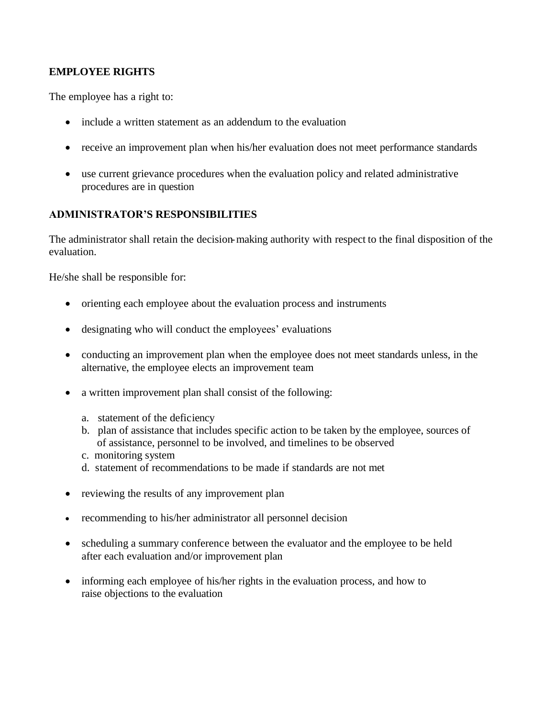## **EMPLOYEE RIGHTS**

The employee has a right to:

- include a written statement as an addendum to the evaluation
- receive an improvement plan when his/her evaluation does not meet performance standards
- use current grievance procedures when the evaluation policy and related administrative procedures are in question

## **ADMINISTRATOR'S RESPONSIBILITIES**

The administrator shall retain the decision-making authority with respect to the final disposition of the evaluation.

He/she shall be responsible for:

- orienting each employee about the evaluation process and instruments
- designating who will conduct the employees' evaluations
- conducting an improvement plan when the employee does not meet standards unless, in the alternative, the employee elects an improvement team
- a written improvement plan shall consist of the following:
	- a. statement of the deficiency
	- b. plan of assistance that includes specific action to be taken by the employee, sources of of assistance, personnel to be involved, and timelines to be observed
	- c. monitoring system
	- d. statement of recommendations to be made if standards are not met
- reviewing the results of any improvement plan
- recommending to his/her administrator all personnel decision
- scheduling a summary conference between the evaluator and the employee to be held after each evaluation and/or improvement plan
- informing each employee of his/her rights in the evaluation process, and how to raise objections to the evaluation